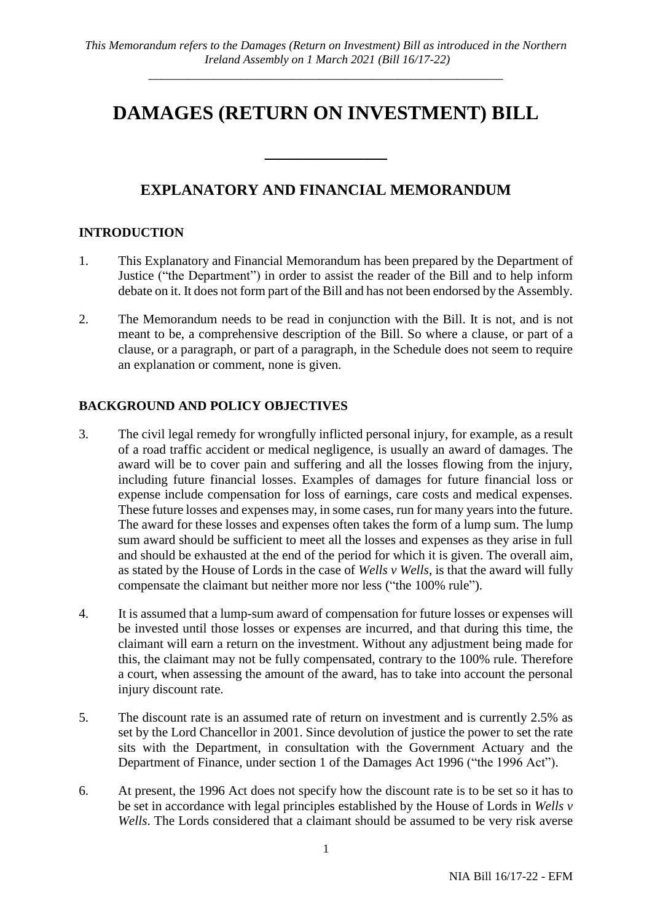# **DAMAGES (RETURN ON INVESTMENT) BILL**

# **EXPLANATORY AND FINANCIAL MEMORANDUM**

 $\overline{\phantom{a}}$  , which is a set of the set of the set of the set of the set of the set of the set of the set of the set of the set of the set of the set of the set of the set of the set of the set of the set of the set of th

#### **INTRODUCTION**

- 1. This Explanatory and Financial Memorandum has been prepared by the Department of Justice ("the Department") in order to assist the reader of the Bill and to help inform debate on it. It does not form part of the Bill and has not been endorsed by the Assembly.
- 2. The Memorandum needs to be read in conjunction with the Bill. It is not, and is not meant to be, a comprehensive description of the Bill. So where a clause, or part of a clause, or a paragraph, or part of a paragraph, in the Schedule does not seem to require an explanation or comment, none is given.

# **BACKGROUND AND POLICY OBJECTIVES**

- 3. The civil legal remedy for wrongfully inflicted personal injury, for example, as a result of a road traffic accident or medical negligence, is usually an award of damages. The award will be to cover pain and suffering and all the losses flowing from the injury, including future financial losses. Examples of damages for future financial loss or expense include compensation for loss of earnings, care costs and medical expenses. These future losses and expenses may, in some cases, run for many years into the future. The award for these losses and expenses often takes the form of a lump sum. The lump sum award should be sufficient to meet all the losses and expenses as they arise in full and should be exhausted at the end of the period for which it is given. The overall aim, as stated by the House of Lords in the case of *Wells v Wells*, is that the award will fully compensate the claimant but neither more nor less ("the 100% rule").
- 4. It is assumed that a lump-sum award of compensation for future losses or expenses will be invested until those losses or expenses are incurred, and that during this time, the claimant will earn a return on the investment. Without any adjustment being made for this, the claimant may not be fully compensated, contrary to the 100% rule. Therefore a court, when assessing the amount of the award, has to take into account the personal injury discount rate.
- 5. The discount rate is an assumed rate of return on investment and is currently 2.5% as set by the Lord Chancellor in 2001. Since devolution of justice the power to set the rate sits with the Department, in consultation with the Government Actuary and the Department of Finance, under section 1 of the Damages Act 1996 ("the 1996 Act").
- 6. At present, the 1996 Act does not specify how the discount rate is to be set so it has to be set in accordance with legal principles established by the House of Lords in *Wells v Wells*. The Lords considered that a claimant should be assumed to be very risk averse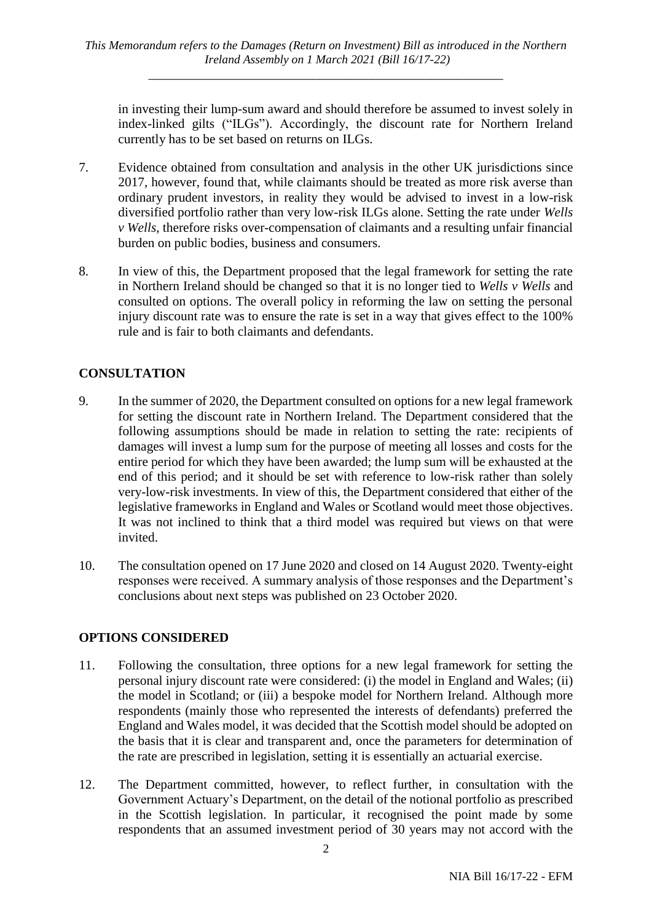in investing their lump-sum award and should therefore be assumed to invest solely in index-linked gilts ("ILGs"). Accordingly, the discount rate for Northern Ireland currently has to be set based on returns on ILGs.

- 7. Evidence obtained from consultation and analysis in the other UK jurisdictions since 2017, however, found that, while claimants should be treated as more risk averse than ordinary prudent investors, in reality they would be advised to invest in a low-risk diversified portfolio rather than very low-risk ILGs alone. Setting the rate under *Wells v Wells*, therefore risks over-compensation of claimants and a resulting unfair financial burden on public bodies, business and consumers.
- 8. In view of this, the Department proposed that the legal framework for setting the rate in Northern Ireland should be changed so that it is no longer tied to *Wells v Wells* and consulted on options. The overall policy in reforming the law on setting the personal injury discount rate was to ensure the rate is set in a way that gives effect to the 100% rule and is fair to both claimants and defendants.

# **CONSULTATION**

- 9. In the summer of 2020, the Department consulted on options for a new legal framework for setting the discount rate in Northern Ireland. The Department considered that the following assumptions should be made in relation to setting the rate: recipients of damages will invest a lump sum for the purpose of meeting all losses and costs for the entire period for which they have been awarded; the lump sum will be exhausted at the end of this period; and it should be set with reference to low-risk rather than solely very-low-risk investments. In view of this, the Department considered that either of the legislative frameworks in England and Wales or Scotland would meet those objectives. It was not inclined to think that a third model was required but views on that were invited.
- 10. The consultation opened on 17 June 2020 and closed on 14 August 2020. Twenty-eight responses were received. A summary analysis of those responses and the Department's conclusions about next steps was published on 23 October 2020.

# **OPTIONS CONSIDERED**

- 11. Following the consultation, three options for a new legal framework for setting the personal injury discount rate were considered: (i) the model in England and Wales; (ii) the model in Scotland; or (iii) a bespoke model for Northern Ireland. Although more respondents (mainly those who represented the interests of defendants) preferred the England and Wales model, it was decided that the Scottish model should be adopted on the basis that it is clear and transparent and, once the parameters for determination of the rate are prescribed in legislation, setting it is essentially an actuarial exercise.
- 12. The Department committed, however, to reflect further, in consultation with the Government Actuary's Department, on the detail of the notional portfolio as prescribed in the Scottish legislation. In particular, it recognised the point made by some respondents that an assumed investment period of 30 years may not accord with the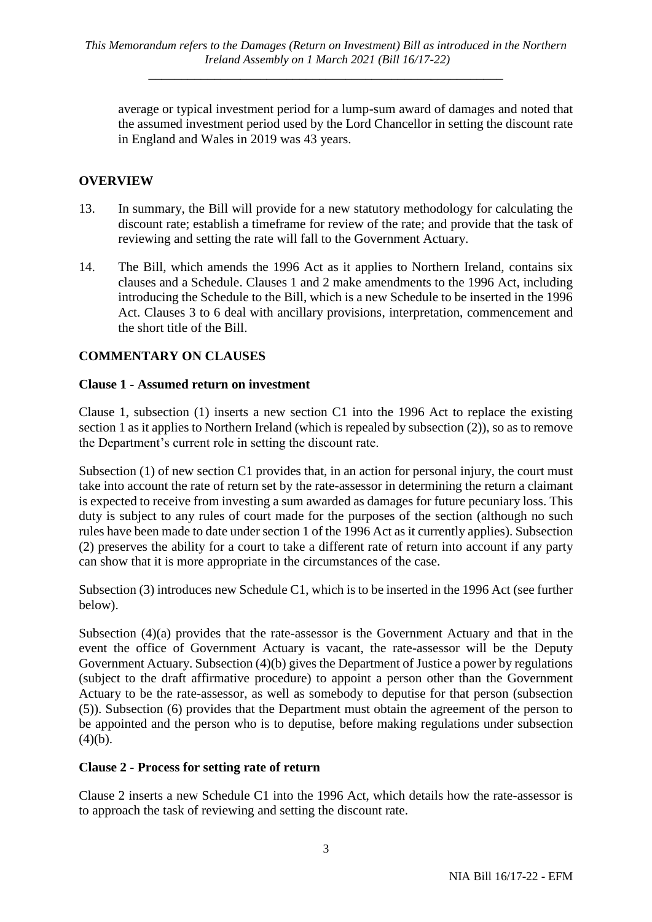average or typical investment period for a lump-sum award of damages and noted that the assumed investment period used by the Lord Chancellor in setting the discount rate in England and Wales in 2019 was 43 years.

# **OVERVIEW**

- 13. In summary, the Bill will provide for a new statutory methodology for calculating the discount rate; establish a timeframe for review of the rate; and provide that the task of reviewing and setting the rate will fall to the Government Actuary.
- 14. The Bill, which amends the 1996 Act as it applies to Northern Ireland, contains six clauses and a Schedule. Clauses 1 and 2 make amendments to the 1996 Act, including introducing the Schedule to the Bill, which is a new Schedule to be inserted in the 1996 Act. Clauses 3 to 6 deal with ancillary provisions, interpretation, commencement and the short title of the Bill.

# **COMMENTARY ON CLAUSES**

#### **Clause 1 - Assumed return on investment**

Clause 1, subsection (1) inserts a new section C1 into the 1996 Act to replace the existing section 1 as it applies to Northern Ireland (which is repealed by subsection (2)), so as to remove the Department's current role in setting the discount rate.

Subsection (1) of new section C1 provides that, in an action for personal injury, the court must take into account the rate of return set by the rate-assessor in determining the return a claimant is expected to receive from investing a sum awarded as damages for future pecuniary loss. This duty is subject to any rules of court made for the purposes of the section (although no such rules have been made to date under section 1 of the 1996 Act as it currently applies). Subsection (2) preserves the ability for a court to take a different rate of return into account if any party can show that it is more appropriate in the circumstances of the case.

Subsection (3) introduces new Schedule C1, which is to be inserted in the 1996 Act (see further below).

Subsection (4)(a) provides that the rate-assessor is the Government Actuary and that in the event the office of Government Actuary is vacant, the rate-assessor will be the Deputy Government Actuary. Subsection (4)(b) gives the Department of Justice a power by regulations (subject to the draft affirmative procedure) to appoint a person other than the Government Actuary to be the rate-assessor, as well as somebody to deputise for that person (subsection (5)). Subsection (6) provides that the Department must obtain the agreement of the person to be appointed and the person who is to deputise, before making regulations under subsection  $(4)(b)$ .

# **Clause 2 - Process for setting rate of return**

Clause 2 inserts a new Schedule C1 into the 1996 Act, which details how the rate-assessor is to approach the task of reviewing and setting the discount rate.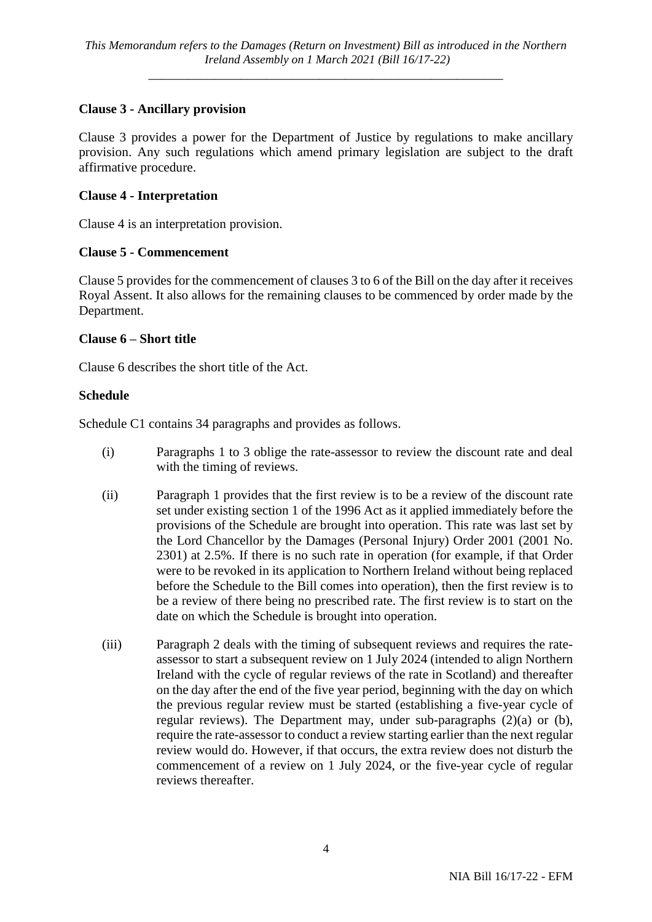# **Clause 3 - Ancillary provision**

Clause 3 provides a power for the Department of Justice by regulations to make ancillary provision. Any such regulations which amend primary legislation are subject to the draft affirmative procedure.

# **Clause 4 - Interpretation**

Clause 4 is an interpretation provision.

# **Clause 5 - Commencement**

Clause 5 provides for the commencement of clauses 3 to 6 of the Bill on the day after it receives Royal Assent. It also allows for the remaining clauses to be commenced by order made by the Department.

#### **Clause 6 – Short title**

Clause 6 describes the short title of the Act.

#### **Schedule**

Schedule C1 contains 34 paragraphs and provides as follows.

- (i) Paragraphs 1 to 3 oblige the rate-assessor to review the discount rate and deal with the timing of reviews.
- (ii) Paragraph 1 provides that the first review is to be a review of the discount rate set under existing section 1 of the 1996 Act as it applied immediately before the provisions of the Schedule are brought into operation. This rate was last set by the Lord Chancellor by the Damages (Personal Injury) Order 2001 (2001 No. 2301) at 2.5%. If there is no such rate in operation (for example, if that Order were to be revoked in its application to Northern Ireland without being replaced before the Schedule to the Bill comes into operation), then the first review is to be a review of there being no prescribed rate. The first review is to start on the date on which the Schedule is brought into operation.
- (iii) Paragraph 2 deals with the timing of subsequent reviews and requires the rateassessor to start a subsequent review on 1 July 2024 (intended to align Northern Ireland with the cycle of regular reviews of the rate in Scotland) and thereafter on the day after the end of the five year period, beginning with the day on which the previous regular review must be started (establishing a five-year cycle of regular reviews). The Department may, under sub-paragraphs (2)(a) or (b), require the rate-assessor to conduct a review starting earlier than the next regular review would do. However, if that occurs, the extra review does not disturb the commencement of a review on 1 July 2024, or the five-year cycle of regular reviews thereafter.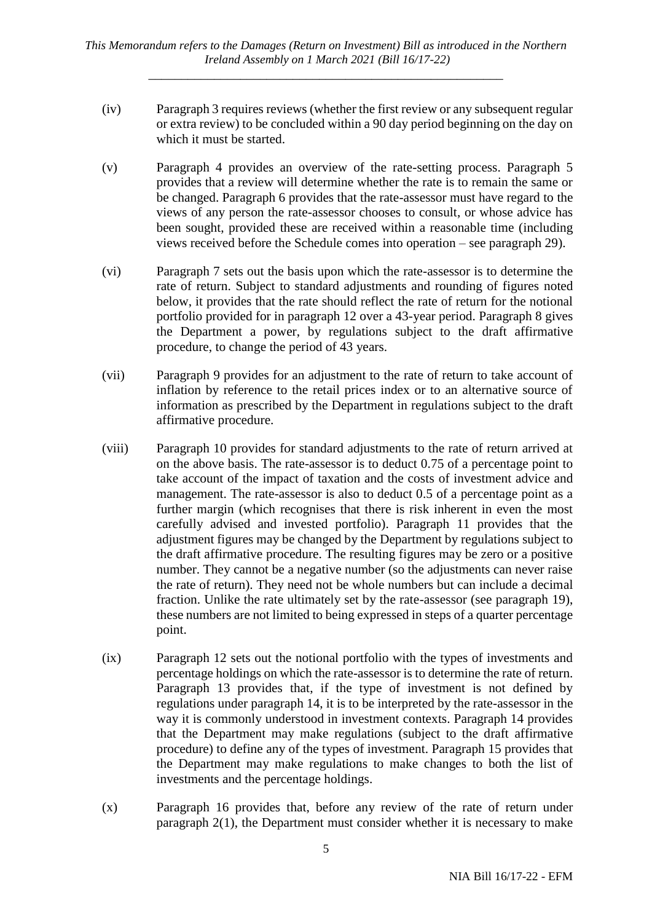*This Memorandum refers to the Damages (Return on Investment) Bill as introduced in the Northern Ireland Assembly on 1 March 2021 (Bill 16/17-22)*

*\_\_\_\_\_\_\_\_\_\_\_\_\_\_\_\_\_\_\_\_\_\_\_\_\_\_\_\_\_\_\_\_\_\_\_\_\_\_\_\_\_\_\_\_\_\_\_\_\_\_\_\_\_\_*

- (iv) Paragraph 3 requires reviews (whether the first review or any subsequent regular or extra review) to be concluded within a 90 day period beginning on the day on which it must be started.
- (v) Paragraph 4 provides an overview of the rate-setting process. Paragraph 5 provides that a review will determine whether the rate is to remain the same or be changed. Paragraph 6 provides that the rate-assessor must have regard to the views of any person the rate-assessor chooses to consult, or whose advice has been sought, provided these are received within a reasonable time (including views received before the Schedule comes into operation – see paragraph 29).
- (vi) Paragraph 7 sets out the basis upon which the rate-assessor is to determine the rate of return. Subject to standard adjustments and rounding of figures noted below, it provides that the rate should reflect the rate of return for the notional portfolio provided for in paragraph 12 over a 43-year period. Paragraph 8 gives the Department a power, by regulations subject to the draft affirmative procedure, to change the period of 43 years.
- (vii) Paragraph 9 provides for an adjustment to the rate of return to take account of inflation by reference to the retail prices index or to an alternative source of information as prescribed by the Department in regulations subject to the draft affirmative procedure.
- (viii) Paragraph 10 provides for standard adjustments to the rate of return arrived at on the above basis. The rate-assessor is to deduct 0.75 of a percentage point to take account of the impact of taxation and the costs of investment advice and management. The rate-assessor is also to deduct 0.5 of a percentage point as a further margin (which recognises that there is risk inherent in even the most carefully advised and invested portfolio). Paragraph 11 provides that the adjustment figures may be changed by the Department by regulations subject to the draft affirmative procedure. The resulting figures may be zero or a positive number. They cannot be a negative number (so the adjustments can never raise the rate of return). They need not be whole numbers but can include a decimal fraction. Unlike the rate ultimately set by the rate-assessor (see paragraph 19), these numbers are not limited to being expressed in steps of a quarter percentage point.
- (ix) Paragraph 12 sets out the notional portfolio with the types of investments and percentage holdings on which the rate-assessor is to determine the rate of return. Paragraph 13 provides that, if the type of investment is not defined by regulations under paragraph 14, it is to be interpreted by the rate-assessor in the way it is commonly understood in investment contexts. Paragraph 14 provides that the Department may make regulations (subject to the draft affirmative procedure) to define any of the types of investment. Paragraph 15 provides that the Department may make regulations to make changes to both the list of investments and the percentage holdings.
- (x) Paragraph 16 provides that, before any review of the rate of return under paragraph 2(1), the Department must consider whether it is necessary to make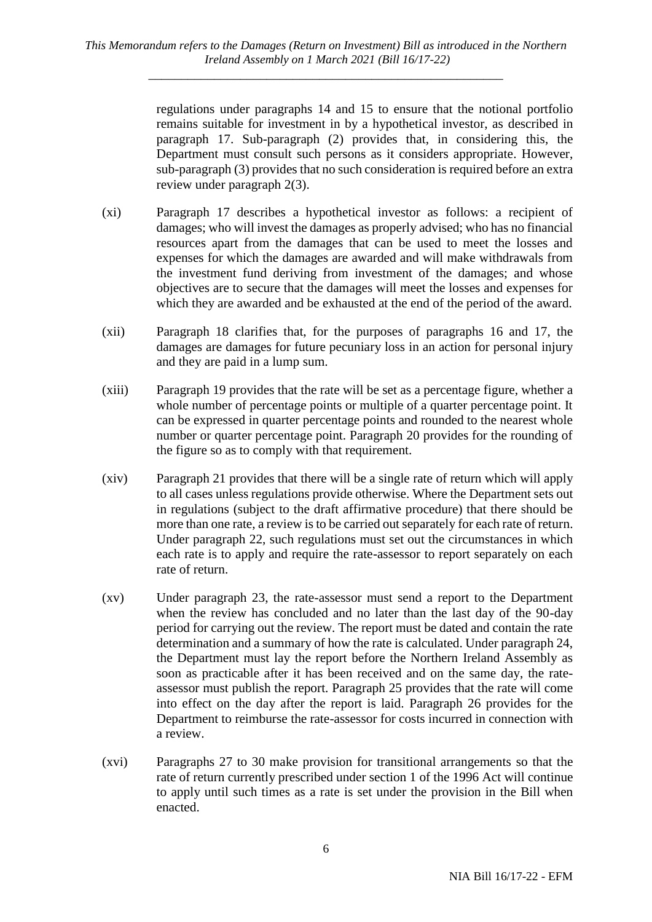regulations under paragraphs 14 and 15 to ensure that the notional portfolio remains suitable for investment in by a hypothetical investor, as described in paragraph 17. Sub-paragraph (2) provides that, in considering this, the Department must consult such persons as it considers appropriate. However, sub-paragraph (3) provides that no such consideration is required before an extra review under paragraph 2(3).

- (xi) Paragraph 17 describes a hypothetical investor as follows: a recipient of damages; who will invest the damages as properly advised; who has no financial resources apart from the damages that can be used to meet the losses and expenses for which the damages are awarded and will make withdrawals from the investment fund deriving from investment of the damages; and whose objectives are to secure that the damages will meet the losses and expenses for which they are awarded and be exhausted at the end of the period of the award.
- (xii) Paragraph 18 clarifies that, for the purposes of paragraphs 16 and 17, the damages are damages for future pecuniary loss in an action for personal injury and they are paid in a lump sum.
- (xiii) Paragraph 19 provides that the rate will be set as a percentage figure, whether a whole number of percentage points or multiple of a quarter percentage point. It can be expressed in quarter percentage points and rounded to the nearest whole number or quarter percentage point. Paragraph 20 provides for the rounding of the figure so as to comply with that requirement.
- (xiv) Paragraph 21 provides that there will be a single rate of return which will apply to all cases unless regulations provide otherwise. Where the Department sets out in regulations (subject to the draft affirmative procedure) that there should be more than one rate, a review is to be carried out separately for each rate of return. Under paragraph 22, such regulations must set out the circumstances in which each rate is to apply and require the rate-assessor to report separately on each rate of return.
- (xv) Under paragraph 23, the rate-assessor must send a report to the Department when the review has concluded and no later than the last day of the 90-day period for carrying out the review. The report must be dated and contain the rate determination and a summary of how the rate is calculated. Under paragraph 24, the Department must lay the report before the Northern Ireland Assembly as soon as practicable after it has been received and on the same day, the rateassessor must publish the report. Paragraph 25 provides that the rate will come into effect on the day after the report is laid. Paragraph 26 provides for the Department to reimburse the rate-assessor for costs incurred in connection with a review.
- (xvi) Paragraphs 27 to 30 make provision for transitional arrangements so that the rate of return currently prescribed under section 1 of the 1996 Act will continue to apply until such times as a rate is set under the provision in the Bill when enacted.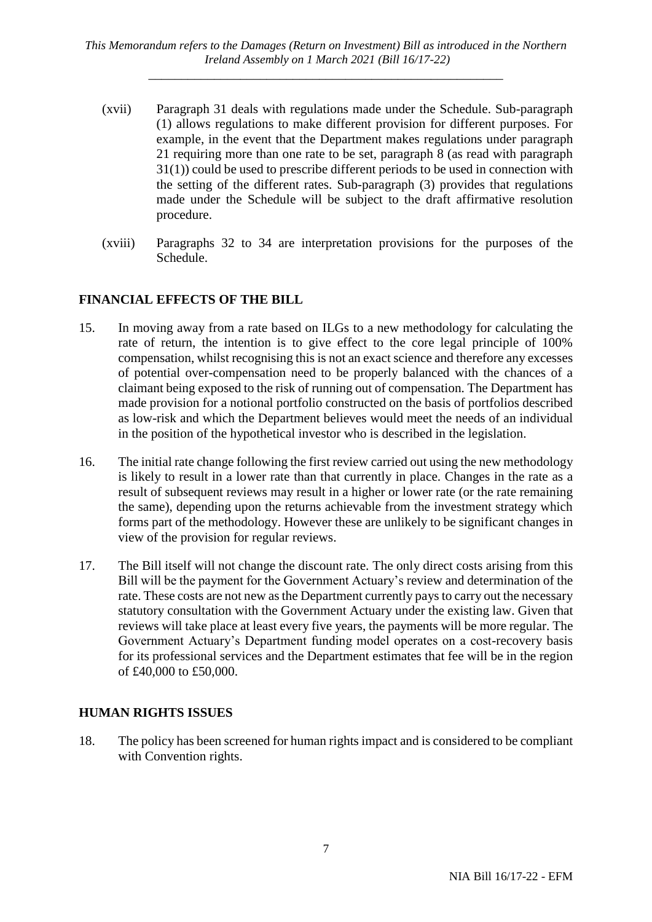*This Memorandum refers to the Damages (Return on Investment) Bill as introduced in the Northern Ireland Assembly on 1 March 2021 (Bill 16/17-22)*

*\_\_\_\_\_\_\_\_\_\_\_\_\_\_\_\_\_\_\_\_\_\_\_\_\_\_\_\_\_\_\_\_\_\_\_\_\_\_\_\_\_\_\_\_\_\_\_\_\_\_\_\_\_\_*

- (xvii) Paragraph 31 deals with regulations made under the Schedule. Sub-paragraph (1) allows regulations to make different provision for different purposes. For example, in the event that the Department makes regulations under paragraph 21 requiring more than one rate to be set, paragraph 8 (as read with paragraph 31(1)) could be used to prescribe different periods to be used in connection with the setting of the different rates. Sub-paragraph (3) provides that regulations made under the Schedule will be subject to the draft affirmative resolution procedure.
- (xviii) Paragraphs 32 to 34 are interpretation provisions for the purposes of the Schedule.

#### **FINANCIAL EFFECTS OF THE BILL**

- 15. In moving away from a rate based on ILGs to a new methodology for calculating the rate of return, the intention is to give effect to the core legal principle of 100% compensation, whilst recognising this is not an exact science and therefore any excesses of potential over-compensation need to be properly balanced with the chances of a claimant being exposed to the risk of running out of compensation. The Department has made provision for a notional portfolio constructed on the basis of portfolios described as low-risk and which the Department believes would meet the needs of an individual in the position of the hypothetical investor who is described in the legislation.
- 16. The initial rate change following the first review carried out using the new methodology is likely to result in a lower rate than that currently in place. Changes in the rate as a result of subsequent reviews may result in a higher or lower rate (or the rate remaining the same), depending upon the returns achievable from the investment strategy which forms part of the methodology. However these are unlikely to be significant changes in view of the provision for regular reviews.
- 17. The Bill itself will not change the discount rate. The only direct costs arising from this Bill will be the payment for the Government Actuary's review and determination of the rate. These costs are not new as the Department currently paysto carry out the necessary statutory consultation with the Government Actuary under the existing law. Given that reviews will take place at least every five years, the payments will be more regular. The Government Actuary's Department funding model operates on a cost-recovery basis for its professional services and the Department estimates that fee will be in the region of £40,000 to £50,000.

#### **HUMAN RIGHTS ISSUES**

18. The policy has been screened for human rights impact and is considered to be compliant with Convention rights.